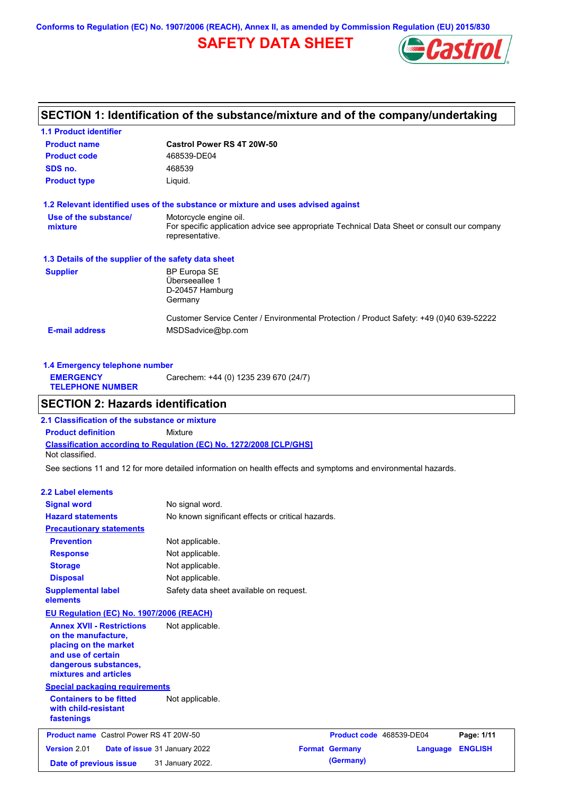**Conforms to Regulation (EC) No. 1907/2006 (REACH), Annex II, as amended by Commission Regulation (EU) 2015/830**

# **SAFETY DATA SHEET**



# **SECTION 1: Identification of the substance/mixture and of the company/undertaking**

| <b>1.1 Product identifier</b>                        |                                                                                                                                          |
|------------------------------------------------------|------------------------------------------------------------------------------------------------------------------------------------------|
| <b>Product name</b>                                  | Castrol Power RS 4T 20W-50                                                                                                               |
| <b>Product code</b>                                  | 468539-DE04                                                                                                                              |
| SDS no.                                              | 468539                                                                                                                                   |
| <b>Product type</b>                                  | Liquid.                                                                                                                                  |
|                                                      | 1.2 Relevant identified uses of the substance or mixture and uses advised against                                                        |
| Use of the substance/<br>mixture                     | Motorcycle engine oil.<br>For specific application advice see appropriate Technical Data Sheet or consult our company<br>representative. |
| 1.3 Details of the supplier of the safety data sheet |                                                                                                                                          |
| <b>Supplier</b>                                      | <b>BP Europa SE</b><br>Überseeallee 1<br>D-20457 Hamburg<br>Germany                                                                      |
| <b>E-mail address</b>                                | Customer Service Center / Environmental Protection / Product Safety: +49 (0)40 639-52222<br>MSDSadvice@bp.com                            |

|                                             | 1.4 Emergency telephone number        |  |  |  |  |  |  |  |
|---------------------------------------------|---------------------------------------|--|--|--|--|--|--|--|
| <b>EMERGENCY</b><br><b>TELEPHONE NUMBER</b> | Carechem: +44 (0) 1235 239 670 (24/7) |  |  |  |  |  |  |  |

## **SECTION 2: Hazards identification**

**Classification according to Regulation (EC) No. 1272/2008 [CLP/GHS] 2.1 Classification of the substance or mixture Product definition** Mixture Not classified.

See sections 11 and 12 for more detailed information on health effects and symptoms and environmental hazards.

### **2.2 Label elements**

| <b>Signal word</b><br><b>Hazard statements</b>                                                                                                                                                                          | No signal word.<br>No known significant effects or critical hazards.                                                |                                                                |          |                              |
|-------------------------------------------------------------------------------------------------------------------------------------------------------------------------------------------------------------------------|---------------------------------------------------------------------------------------------------------------------|----------------------------------------------------------------|----------|------------------------------|
| <b>Precautionary statements</b><br><b>Prevention</b><br><b>Response</b><br><b>Storage</b><br><b>Disposal</b><br><b>Supplemental label</b>                                                                               | Not applicable.<br>Not applicable.<br>Not applicable.<br>Not applicable.<br>Safety data sheet available on request. |                                                                |          |                              |
| elements<br><b>EU Regulation (EC) No. 1907/2006 (REACH)</b><br><b>Annex XVII - Restrictions</b><br>on the manufacture,<br>placing on the market<br>and use of certain<br>dangerous substances,<br>mixtures and articles | Not applicable.                                                                                                     |                                                                |          |                              |
| <b>Special packaging requirements</b><br><b>Containers to be fitted</b><br>with child-resistant<br>fastenings                                                                                                           | Not applicable.                                                                                                     |                                                                |          |                              |
| <b>Product name</b> Castrol Power RS 4T 20W-50<br>Version 2.01<br>Date of previous issue                                                                                                                                | Date of issue 31 January 2022<br>31 January 2022.                                                                   | Product code 468539-DE04<br><b>Format Germany</b><br>(Germany) | Language | Page: 1/11<br><b>ENGLISH</b> |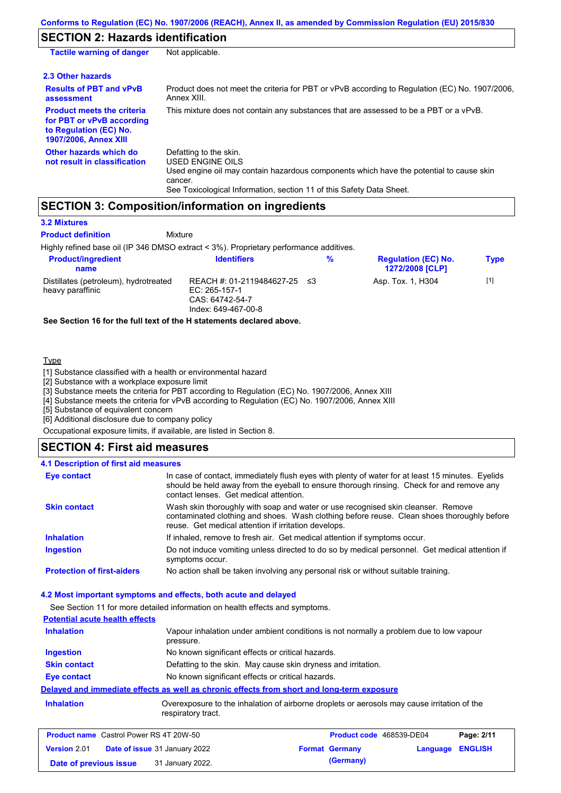### **SECTION 2: Hazards identification**

| <b>Tactile warning of danger</b>                                                                                         | Not applicable.                                                                                                                                                                                                          |
|--------------------------------------------------------------------------------------------------------------------------|--------------------------------------------------------------------------------------------------------------------------------------------------------------------------------------------------------------------------|
| 2.3 Other hazards                                                                                                        |                                                                                                                                                                                                                          |
| <b>Results of PBT and vPvB</b><br>assessment                                                                             | Product does not meet the criteria for PBT or vPvB according to Regulation (EC) No. 1907/2006,<br>Annex XIII.                                                                                                            |
| <b>Product meets the criteria</b><br>for PBT or vPvB according<br>to Regulation (EC) No.<br><b>1907/2006, Annex XIII</b> | This mixture does not contain any substances that are assessed to be a PBT or a vPvB.                                                                                                                                    |
| Other hazards which do<br>not result in classification                                                                   | Defatting to the skin.<br>USED ENGINE OILS<br>Used engine oil may contain hazardous components which have the potential to cause skin<br>cancer.<br>See Toxicological Information, section 11 of this Safety Data Sheet. |

### **SECTION 3: Composition/information on ingredients**

**Mixture** 

### **3.2 Mixtures**

**Product definition**

Highly refined base oil (IP 346 DMSO extract < 3%). Proprietary performance additives.

| <b>Product/ingredient</b><br>name                         | <b>Identifiers</b>                                                                      | % | <b>Regulation (EC) No.</b><br><b>1272/2008 [CLP]</b> | <b>Type</b> |
|-----------------------------------------------------------|-----------------------------------------------------------------------------------------|---|------------------------------------------------------|-------------|
| Distillates (petroleum), hydrotreated<br>heavy paraffinic | REACH #: 01-2119484627-25 ≤3<br>EC: 265-157-1<br>CAS: 64742-54-7<br>Index: 649-467-00-8 |   | Asp. Tox. 1, H304                                    | $[1]$       |

**See Section 16 for the full text of the H statements declared above.**

#### **Type**

[1] Substance classified with a health or environmental hazard

[2] Substance with a workplace exposure limit

[3] Substance meets the criteria for PBT according to Regulation (EC) No. 1907/2006, Annex XIII

[4] Substance meets the criteria for vPvB according to Regulation (EC) No. 1907/2006, Annex XIII

[5] Substance of equivalent concern

[6] Additional disclosure due to company policy

Occupational exposure limits, if available, are listed in Section 8.

### **SECTION 4: First aid measures**

#### Do not induce vomiting unless directed to do so by medical personnel. Get medical attention if symptoms occur. In case of contact, immediately flush eyes with plenty of water for at least 15 minutes. Eyelids should be held away from the eyeball to ensure thorough rinsing. Check for and remove any contact lenses. Get medical attention. **4.1 Description of first aid measures** If inhaled, remove to fresh air. Get medical attention if symptoms occur. **Ingestion Inhalation Eye contact Protection of first-aiders** No action shall be taken involving any personal risk or without suitable training. **Skin contact** Wash skin thoroughly with soap and water or use recognised skin cleanser. Remove contaminated clothing and shoes. Wash clothing before reuse. Clean shoes thoroughly before reuse. Get medical attention if irritation develops.

### **4.2 Most important symptoms and effects, both acute and delayed**

See Section 11 for more detailed information on health effects and symptoms. **Potential acute health effects Inhalation** Vapour inhalation under ambient conditions is not normally a problem due to low vapour pressure. **Ingestion** No known significant effects or critical hazards. **Skin contact** Defatting to the skin. May cause skin dryness and irritation. **Eye contact** No known significant effects or critical hazards. **Delayed and immediate effects as well as chronic effects from short and long-term exposure Inhalation Inhalation** Overexposure to the inhalation of airborne droplets or aerosols may cause irritation of the respiratory tract.

| <b>Product name</b> Castrol Power RS 4T 20W-50 |  |                                      | Product code 468539-DE04 |                       | Page: 2/11       |  |
|------------------------------------------------|--|--------------------------------------|--------------------------|-----------------------|------------------|--|
| <b>Version 2.01</b>                            |  | <b>Date of issue</b> 31 January 2022 |                          | <b>Format Germany</b> | Language ENGLISH |  |
| Date of previous issue                         |  | 31 January 2022.                     |                          | (Germany)             |                  |  |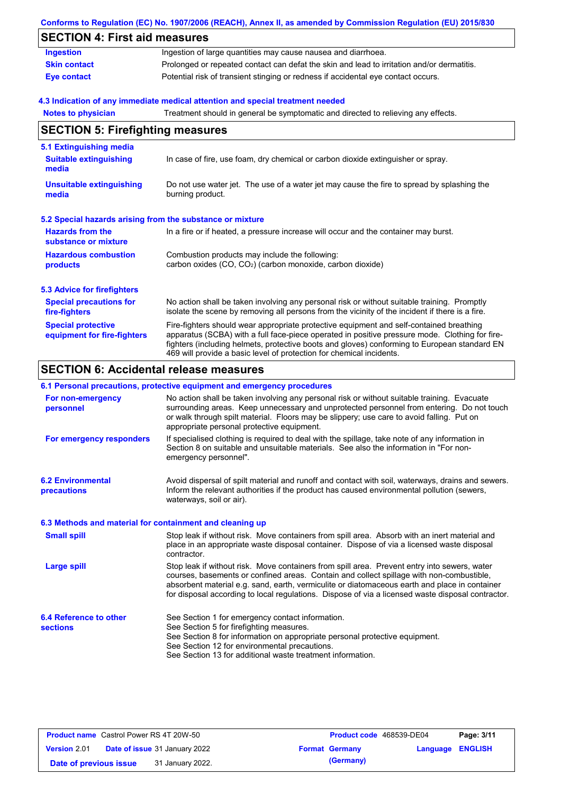|                                                           | Conforms to Regulation (EC) No. 1907/2006 (REACH), Annex II, as amended by Commission Regulation (EU) 2015/830                                                                                                                                                                                                                                                    |
|-----------------------------------------------------------|-------------------------------------------------------------------------------------------------------------------------------------------------------------------------------------------------------------------------------------------------------------------------------------------------------------------------------------------------------------------|
| <b>SECTION 4: First aid measures</b>                      |                                                                                                                                                                                                                                                                                                                                                                   |
| <b>Ingestion</b>                                          | Ingestion of large quantities may cause nausea and diarrhoea.                                                                                                                                                                                                                                                                                                     |
| <b>Skin contact</b>                                       | Prolonged or repeated contact can defat the skin and lead to irritation and/or dermatitis.                                                                                                                                                                                                                                                                        |
| <b>Eye contact</b>                                        | Potential risk of transient stinging or redness if accidental eye contact occurs.                                                                                                                                                                                                                                                                                 |
|                                                           | 4.3 Indication of any immediate medical attention and special treatment needed                                                                                                                                                                                                                                                                                    |
| <b>Notes to physician</b>                                 | Treatment should in general be symptomatic and directed to relieving any effects.                                                                                                                                                                                                                                                                                 |
| <b>SECTION 5: Firefighting measures</b>                   |                                                                                                                                                                                                                                                                                                                                                                   |
| 5.1 Extinguishing media                                   |                                                                                                                                                                                                                                                                                                                                                                   |
| <b>Suitable extinguishing</b><br>media                    | In case of fire, use foam, dry chemical or carbon dioxide extinguisher or spray.                                                                                                                                                                                                                                                                                  |
| <b>Unsuitable extinguishing</b><br>media                  | Do not use water jet. The use of a water jet may cause the fire to spread by splashing the<br>burning product.                                                                                                                                                                                                                                                    |
| 5.2 Special hazards arising from the substance or mixture |                                                                                                                                                                                                                                                                                                                                                                   |
| <b>Hazards from the</b><br>substance or mixture           | In a fire or if heated, a pressure increase will occur and the container may burst.                                                                                                                                                                                                                                                                               |
| <b>Hazardous combustion</b><br>products                   | Combustion products may include the following:<br>carbon oxides (CO, CO <sub>2</sub> ) (carbon monoxide, carbon dioxide)                                                                                                                                                                                                                                          |
| <b>5.3 Advice for firefighters</b>                        |                                                                                                                                                                                                                                                                                                                                                                   |
| <b>Special precautions for</b><br>fire-fighters           | No action shall be taken involving any personal risk or without suitable training. Promptly<br>isolate the scene by removing all persons from the vicinity of the incident if there is a fire.                                                                                                                                                                    |
| <b>Special protective</b><br>equipment for fire-fighters  | Fire-fighters should wear appropriate protective equipment and self-contained breathing<br>apparatus (SCBA) with a full face-piece operated in positive pressure mode. Clothing for fire-<br>fighters (including helmets, protective boots and gloves) conforming to European standard EN<br>469 will provide a basic level of protection for chemical incidents. |

# **SECTION 6: Accidental release measures**

### **6.1 Personal precautions, protective equipment and emergency procedures**

| For non-emergency<br>personnel                           | No action shall be taken involving any personal risk or without suitable training. Evacuate<br>surrounding areas. Keep unnecessary and unprotected personnel from entering. Do not touch<br>or walk through spilt material. Floors may be slippery; use care to avoid falling. Put on<br>appropriate personal protective equipment.                                                            |
|----------------------------------------------------------|------------------------------------------------------------------------------------------------------------------------------------------------------------------------------------------------------------------------------------------------------------------------------------------------------------------------------------------------------------------------------------------------|
| For emergency responders                                 | If specialised clothing is required to deal with the spillage, take note of any information in<br>Section 8 on suitable and unsuitable materials. See also the information in "For non-<br>emergency personnel".                                                                                                                                                                               |
| <b>6.2 Environmental</b><br>precautions                  | Avoid dispersal of spilt material and runoff and contact with soil, waterways, drains and sewers.<br>Inform the relevant authorities if the product has caused environmental pollution (sewers,<br>waterways, soil or air).                                                                                                                                                                    |
| 6.3 Methods and material for containment and cleaning up |                                                                                                                                                                                                                                                                                                                                                                                                |
| <b>Small spill</b>                                       | Stop leak if without risk. Move containers from spill area. Absorb with an inert material and<br>place in an appropriate waste disposal container. Dispose of via a licensed waste disposal<br>contractor.                                                                                                                                                                                     |
| <b>Large spill</b>                                       | Stop leak if without risk. Move containers from spill area. Prevent entry into sewers, water<br>courses, basements or confined areas. Contain and collect spillage with non-combustible,<br>absorbent material e.g. sand, earth, vermiculite or diatomaceous earth and place in container<br>for disposal according to local regulations. Dispose of via a licensed waste disposal contractor. |
| <b>6.4 Reference to other</b>                            | See Section 1 for emergency contact information.                                                                                                                                                                                                                                                                                                                                               |
| <b>sections</b>                                          | See Section 5 for firefighting measures.<br>See Section 8 for information on appropriate personal protective equipment.                                                                                                                                                                                                                                                                        |
|                                                          | See Section 12 for environmental precautions.                                                                                                                                                                                                                                                                                                                                                  |
|                                                          | See Section 13 for additional waste treatment information.                                                                                                                                                                                                                                                                                                                                     |

| <b>Product name</b> Castrol Power RS 4T 20W-50 |  |                                      | <b>Product code</b> 468539-DE04 |                       | Page: 3/11       |  |
|------------------------------------------------|--|--------------------------------------|---------------------------------|-----------------------|------------------|--|
| <b>Version 2.01</b>                            |  | <b>Date of issue</b> 31 January 2022 |                                 | <b>Format Germany</b> | Language ENGLISH |  |
| Date of previous issue                         |  | 31 January 2022.                     |                                 | (Germany)             |                  |  |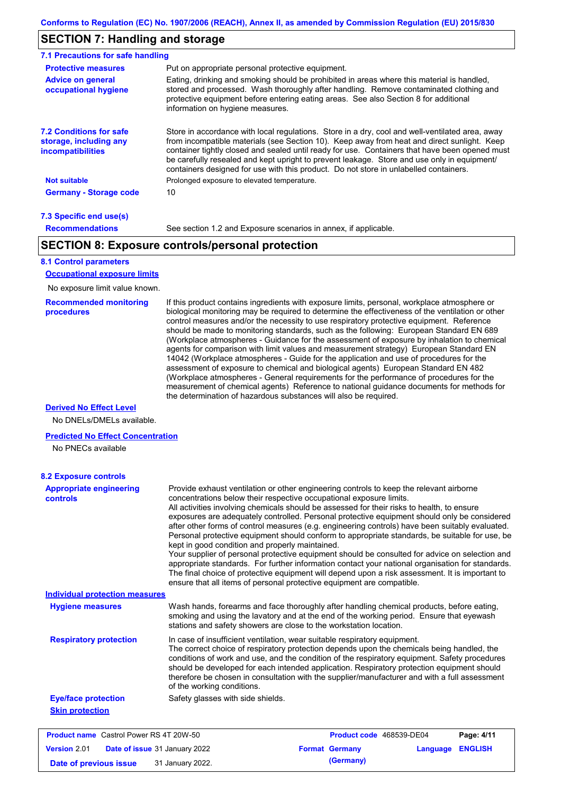### **SECTION 7: Handling and storage**

| <b>Protective measures</b>                                                    | Put on appropriate personal protective equipment.                                                                                                                                                                                                                                                                                                                                                                                                                                        |
|-------------------------------------------------------------------------------|------------------------------------------------------------------------------------------------------------------------------------------------------------------------------------------------------------------------------------------------------------------------------------------------------------------------------------------------------------------------------------------------------------------------------------------------------------------------------------------|
| <b>Advice on general</b><br>occupational hygiene                              | Eating, drinking and smoking should be prohibited in areas where this material is handled,<br>stored and processed. Wash thoroughly after handling. Remove contaminated clothing and<br>protective equipment before entering eating areas. See also Section 8 for additional<br>information on hygiene measures.                                                                                                                                                                         |
| <b>7.2 Conditions for safe</b><br>storage, including any<br>incompatibilities | Store in accordance with local regulations. Store in a dry, cool and well-ventilated area, away<br>from incompatible materials (see Section 10). Keep away from heat and direct sunlight. Keep<br>container tightly closed and sealed until ready for use. Containers that have been opened must<br>be carefully resealed and kept upright to prevent leakage. Store and use only in equipment/<br>containers designed for use with this product. Do not store in unlabelled containers. |
| <b>Not suitable</b>                                                           | Prolonged exposure to elevated temperature.                                                                                                                                                                                                                                                                                                                                                                                                                                              |
| <b>Germany - Storage code</b>                                                 | 10                                                                                                                                                                                                                                                                                                                                                                                                                                                                                       |

### **7.3 Specific end use(s) Recommendations**

See section 1.2 and Exposure scenarios in annex, if applicable.

### **SECTION 8: Exposure controls/personal protection**

### **8.1 Control parameters**

**Occupational exposure limits**

No exposure limit value known.

#### **Recommended monitoring procedures**

If this product contains ingredients with exposure limits, personal, workplace atmosphere or biological monitoring may be required to determine the effectiveness of the ventilation or other control measures and/or the necessity to use respiratory protective equipment. Reference should be made to monitoring standards, such as the following: European Standard EN 689 (Workplace atmospheres - Guidance for the assessment of exposure by inhalation to chemical agents for comparison with limit values and measurement strategy) European Standard EN 14042 (Workplace atmospheres - Guide for the application and use of procedures for the assessment of exposure to chemical and biological agents) European Standard EN 482 (Workplace atmospheres - General requirements for the performance of procedures for the measurement of chemical agents) Reference to national guidance documents for methods for the determination of hazardous substances will also be required.

### **Derived No Effect Level**

No DNELs/DMELs available.

#### **Predicted No Effect Concentration**

No PNECs available

| <b>8.2 Exposure controls</b>                         |                                                                                                                                                                                                                                                                                                                                                                                                                                                                                                                                                                                                                                                                                                                                                                                                                                                                                                                                                                                                         |                          |          |                |
|------------------------------------------------------|---------------------------------------------------------------------------------------------------------------------------------------------------------------------------------------------------------------------------------------------------------------------------------------------------------------------------------------------------------------------------------------------------------------------------------------------------------------------------------------------------------------------------------------------------------------------------------------------------------------------------------------------------------------------------------------------------------------------------------------------------------------------------------------------------------------------------------------------------------------------------------------------------------------------------------------------------------------------------------------------------------|--------------------------|----------|----------------|
| <b>Appropriate engineering</b><br>controls           | Provide exhaust ventilation or other engineering controls to keep the relevant airborne<br>concentrations below their respective occupational exposure limits.<br>All activities involving chemicals should be assessed for their risks to health, to ensure<br>exposures are adequately controlled. Personal protective equipment should only be considered<br>after other forms of control measures (e.g. engineering controls) have been suitably evaluated.<br>Personal protective equipment should conform to appropriate standards, be suitable for use, be<br>kept in good condition and properly maintained.<br>Your supplier of personal protective equipment should be consulted for advice on selection and<br>appropriate standards. For further information contact your national organisation for standards.<br>The final choice of protective equipment will depend upon a risk assessment. It is important to<br>ensure that all items of personal protective equipment are compatible. |                          |          |                |
| <b>Individual protection measures</b>                |                                                                                                                                                                                                                                                                                                                                                                                                                                                                                                                                                                                                                                                                                                                                                                                                                                                                                                                                                                                                         |                          |          |                |
| <b>Hygiene measures</b>                              | Wash hands, forearms and face thoroughly after handling chemical products, before eating,<br>smoking and using the lavatory and at the end of the working period. Ensure that eyewash<br>stations and safety showers are close to the workstation location.                                                                                                                                                                                                                                                                                                                                                                                                                                                                                                                                                                                                                                                                                                                                             |                          |          |                |
| <b>Respiratory protection</b>                        | In case of insufficient ventilation, wear suitable respiratory equipment.<br>The correct choice of respiratory protection depends upon the chemicals being handled, the<br>conditions of work and use, and the condition of the respiratory equipment. Safety procedures<br>should be developed for each intended application. Respiratory protection equipment should<br>therefore be chosen in consultation with the supplier/manufacturer and with a full assessment<br>of the working conditions.                                                                                                                                                                                                                                                                                                                                                                                                                                                                                                   |                          |          |                |
| <b>Eye/face protection</b>                           | Safety glasses with side shields.                                                                                                                                                                                                                                                                                                                                                                                                                                                                                                                                                                                                                                                                                                                                                                                                                                                                                                                                                                       |                          |          |                |
| <b>Skin protection</b>                               |                                                                                                                                                                                                                                                                                                                                                                                                                                                                                                                                                                                                                                                                                                                                                                                                                                                                                                                                                                                                         |                          |          |                |
| <b>Product name</b> Castrol Power RS 4T 20W-50       |                                                                                                                                                                                                                                                                                                                                                                                                                                                                                                                                                                                                                                                                                                                                                                                                                                                                                                                                                                                                         | Product code 468539-DE04 |          | Page: 4/11     |
| <b>Version 2.01</b><br>Date of issue 31 January 2022 |                                                                                                                                                                                                                                                                                                                                                                                                                                                                                                                                                                                                                                                                                                                                                                                                                                                                                                                                                                                                         | <b>Format Germany</b>    | Language | <b>ENGLISH</b> |

**Date of previous issue** 31 January 2022.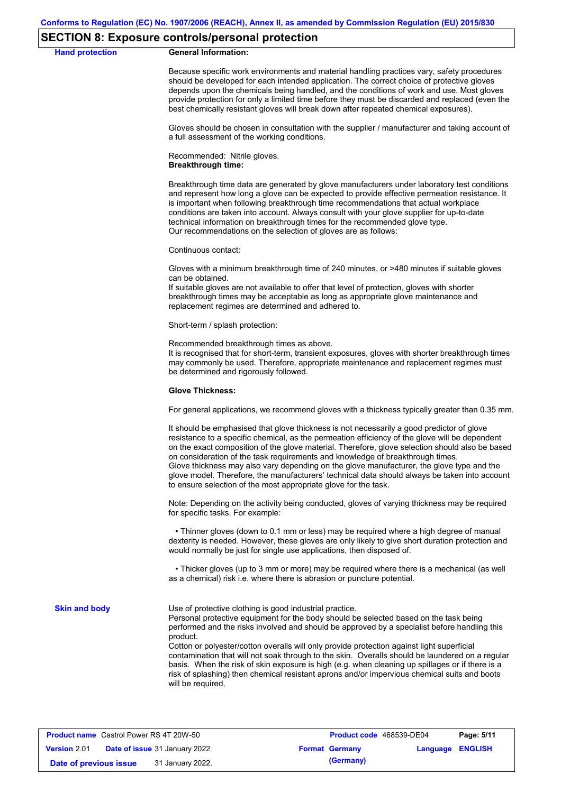### **SECTION 8: Exposure controls/personal protection**

#### **Hand protection General Information:**

Because specific work environments and material handling practices vary, safety procedures should be developed for each intended application. The correct choice of protective gloves depends upon the chemicals being handled, and the conditions of work and use. Most gloves provide protection for only a limited time before they must be discarded and replaced (even the best chemically resistant gloves will break down after repeated chemical exposures).

Gloves should be chosen in consultation with the supplier / manufacturer and taking account of a full assessment of the working conditions.

Recommended: Nitrile gloves. **Breakthrough time:**

Breakthrough time data are generated by glove manufacturers under laboratory test conditions and represent how long a glove can be expected to provide effective permeation resistance. It is important when following breakthrough time recommendations that actual workplace conditions are taken into account. Always consult with your glove supplier for up-to-date technical information on breakthrough times for the recommended glove type. Our recommendations on the selection of gloves are as follows:

Continuous contact:

Gloves with a minimum breakthrough time of 240 minutes, or >480 minutes if suitable gloves can be obtained.

If suitable gloves are not available to offer that level of protection, gloves with shorter breakthrough times may be acceptable as long as appropriate glove maintenance and replacement regimes are determined and adhered to.

Short-term / splash protection:

Recommended breakthrough times as above.

It is recognised that for short-term, transient exposures, gloves with shorter breakthrough times may commonly be used. Therefore, appropriate maintenance and replacement regimes must be determined and rigorously followed.

#### **Glove Thickness:**

For general applications, we recommend gloves with a thickness typically greater than 0.35 mm.

It should be emphasised that glove thickness is not necessarily a good predictor of glove resistance to a specific chemical, as the permeation efficiency of the glove will be dependent on the exact composition of the glove material. Therefore, glove selection should also be based on consideration of the task requirements and knowledge of breakthrough times. Glove thickness may also vary depending on the glove manufacturer, the glove type and the glove model. Therefore, the manufacturers' technical data should always be taken into account to ensure selection of the most appropriate glove for the task.

Note: Depending on the activity being conducted, gloves of varying thickness may be required for specific tasks. For example:

 • Thinner gloves (down to 0.1 mm or less) may be required where a high degree of manual dexterity is needed. However, these gloves are only likely to give short duration protection and would normally be just for single use applications, then disposed of.

 • Thicker gloves (up to 3 mm or more) may be required where there is a mechanical (as well as a chemical) risk i.e. where there is abrasion or puncture potential.

**Skin and body**

Use of protective clothing is good industrial practice.

Personal protective equipment for the body should be selected based on the task being performed and the risks involved and should be approved by a specialist before handling this product.

Cotton or polyester/cotton overalls will only provide protection against light superficial contamination that will not soak through to the skin. Overalls should be laundered on a regular basis. When the risk of skin exposure is high (e.g. when cleaning up spillages or if there is a risk of splashing) then chemical resistant aprons and/or impervious chemical suits and boots will be required.

| <b>Product name</b> Castrol Power RS 4T 20W-50 |  |                                      | Product code 468539-DE04 |                       | Page: 5/11              |  |
|------------------------------------------------|--|--------------------------------------|--------------------------|-----------------------|-------------------------|--|
| <b>Version 2.01</b>                            |  | <b>Date of issue</b> 31 January 2022 |                          | <b>Format Germany</b> | <b>Language ENGLISH</b> |  |
| Date of previous issue                         |  | 31 January 2022.                     |                          | (Germany)             |                         |  |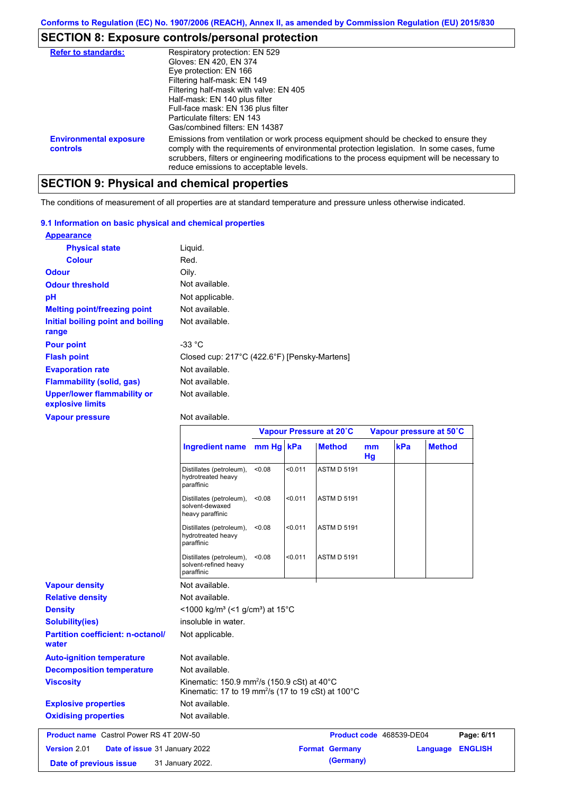# **SECTION 8: Exposure controls/personal protection**

| <b>Refer to standards:</b>                | Respiratory protection: EN 529                                                                                                                                                                                                                                                                                                |
|-------------------------------------------|-------------------------------------------------------------------------------------------------------------------------------------------------------------------------------------------------------------------------------------------------------------------------------------------------------------------------------|
|                                           | Gloves: EN 420, EN 374                                                                                                                                                                                                                                                                                                        |
|                                           | Eye protection: EN 166                                                                                                                                                                                                                                                                                                        |
|                                           | Filtering half-mask: EN 149                                                                                                                                                                                                                                                                                                   |
|                                           | Filtering half-mask with valve: EN 405                                                                                                                                                                                                                                                                                        |
|                                           | Half-mask: EN 140 plus filter                                                                                                                                                                                                                                                                                                 |
|                                           | Full-face mask: EN 136 plus filter                                                                                                                                                                                                                                                                                            |
|                                           | Particulate filters: EN 143                                                                                                                                                                                                                                                                                                   |
|                                           | Gas/combined filters: EN 14387                                                                                                                                                                                                                                                                                                |
| <b>Environmental exposure</b><br>controls | Emissions from ventilation or work process equipment should be checked to ensure they<br>comply with the requirements of environmental protection legislation. In some cases, fume<br>scrubbers, filters or engineering modifications to the process equipment will be necessary to<br>reduce emissions to acceptable levels. |

# **SECTION 9: Physical and chemical properties**

The conditions of measurement of all properties are at standard temperature and pressure unless otherwise indicated.

### **9.1 Information on basic physical and chemical properties**

| <b>Appearance</b>                                      |                                              |
|--------------------------------------------------------|----------------------------------------------|
| <b>Physical state</b>                                  | Liguid.                                      |
| <b>Colour</b>                                          | Red.                                         |
| <b>Odour</b>                                           | Oily.                                        |
| <b>Odour threshold</b>                                 | Not available.                               |
| pH                                                     | Not applicable.                              |
| <b>Melting point/freezing point</b>                    | Not available.                               |
| Initial boiling point and boiling<br>range             | Not available.                               |
| <b>Pour point</b>                                      | -33 $^{\circ}$ C                             |
| <b>Flash point</b>                                     | Closed cup: 217°C (422.6°F) [Pensky-Martens] |
| <b>Evaporation rate</b>                                | Not available.                               |
| <b>Flammability (solid, gas)</b>                       | Not available.                               |
| <b>Upper/lower flammability or</b><br>explosive limits | Not available.                               |

### **Vapour pressure**

Not available.

|                                                   |                                                                                                                                      | Vapour Pressure at 20°C |         |                       |          | Vapour pressure at 50°C  |                |  |
|---------------------------------------------------|--------------------------------------------------------------------------------------------------------------------------------------|-------------------------|---------|-----------------------|----------|--------------------------|----------------|--|
|                                                   | <b>Ingredient name</b>                                                                                                               | $mm Hg$ kPa             |         | <b>Method</b>         | mm<br>Hg | kPa                      | <b>Method</b>  |  |
|                                                   | Distillates (petroleum),<br>hydrotreated heavy<br>paraffinic                                                                         | < 0.08                  | < 0.011 | <b>ASTM D 5191</b>    |          |                          |                |  |
|                                                   | Distillates (petroleum),<br>solvent-dewaxed<br>heavy paraffinic                                                                      | < 0.08                  | < 0.011 | <b>ASTM D 5191</b>    |          |                          |                |  |
|                                                   | Distillates (petroleum),<br>hydrotreated heavy<br>paraffinic                                                                         | < 0.08                  | < 0.011 | <b>ASTM D 5191</b>    |          |                          |                |  |
|                                                   | Distillates (petroleum),<br>solvent-refined heavy<br>paraffinic                                                                      | < 0.08                  | < 0.011 | <b>ASTM D 5191</b>    |          |                          |                |  |
| <b>Vapour density</b>                             | Not available.                                                                                                                       |                         |         |                       |          |                          |                |  |
| <b>Relative density</b>                           | Not available.                                                                                                                       |                         |         |                       |          |                          |                |  |
| <b>Density</b>                                    | <1000 kg/m <sup>3</sup> (<1 g/cm <sup>3</sup> ) at 15 <sup>°</sup> C                                                                 |                         |         |                       |          |                          |                |  |
| <b>Solubility(ies)</b>                            | insoluble in water.                                                                                                                  |                         |         |                       |          |                          |                |  |
| <b>Partition coefficient: n-octanol/</b><br>water | Not applicable.                                                                                                                      |                         |         |                       |          |                          |                |  |
| <b>Auto-ignition temperature</b>                  | Not available.                                                                                                                       |                         |         |                       |          |                          |                |  |
| <b>Decomposition temperature</b>                  | Not available.                                                                                                                       |                         |         |                       |          |                          |                |  |
| <b>Viscosity</b>                                  | Kinematic: 150.9 mm <sup>2</sup> /s (150.9 cSt) at 40°C<br>Kinematic: 17 to 19 mm <sup>2</sup> /s (17 to 19 cSt) at 100 $^{\circ}$ C |                         |         |                       |          |                          |                |  |
| <b>Explosive properties</b>                       | Not available.                                                                                                                       |                         |         |                       |          |                          |                |  |
| <b>Oxidising properties</b>                       | Not available.                                                                                                                       |                         |         |                       |          |                          |                |  |
| <b>Product name</b> Castrol Power RS 4T 20W-50    |                                                                                                                                      |                         |         |                       |          | Product code 468539-DE04 | Page: 6/11     |  |
| Version 2.01<br>Date of issue 31 January 2022     |                                                                                                                                      |                         |         | <b>Format Germany</b> |          | Language                 | <b>ENGLISH</b> |  |
| 31 January 2022.<br>Date of previous issue        |                                                                                                                                      |                         |         | (Germany)             |          |                          |                |  |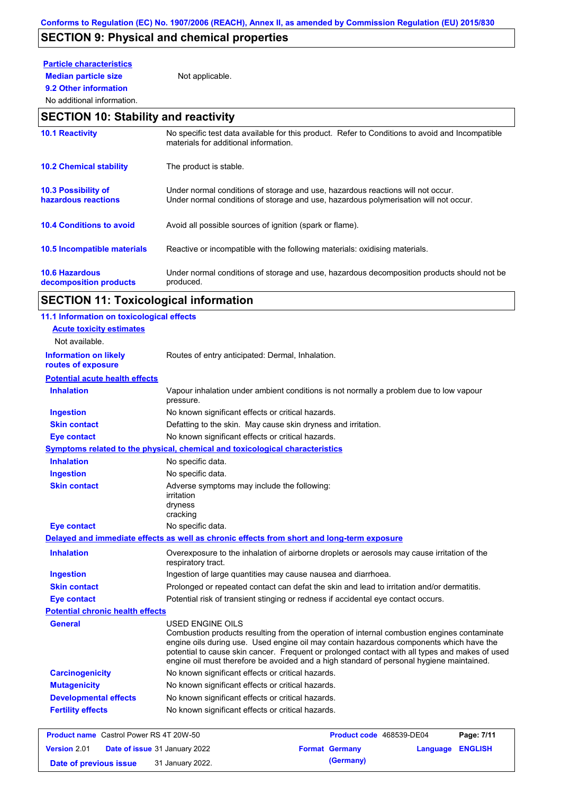# **SECTION 9: Physical and chemical properties**

### **Particle characteristics**

**9.2 Other information**

**Median particle size** Not applicable.

### No additional information.

# **SECTION 10: Stability and reactivity**

| <b>10.1 Reactivity</b>                          | No specific test data available for this product. Refer to Conditions to avoid and Incompatible<br>materials for additional information.                                |
|-------------------------------------------------|-------------------------------------------------------------------------------------------------------------------------------------------------------------------------|
| <b>10.2 Chemical stability</b>                  | The product is stable.                                                                                                                                                  |
| 10.3 Possibility of<br>hazardous reactions      | Under normal conditions of storage and use, hazardous reactions will not occur.<br>Under normal conditions of storage and use, hazardous polymerisation will not occur. |
| <b>10.4 Conditions to avoid</b>                 | Avoid all possible sources of ignition (spark or flame).                                                                                                                |
| <b>10.5 Incompatible materials</b>              | Reactive or incompatible with the following materials: oxidising materials.                                                                                             |
| <b>10.6 Hazardous</b><br>decomposition products | Under normal conditions of storage and use, hazardous decomposition products should not be<br>produced.                                                                 |

# **SECTION 11: Toxicological information**

| 11.1 Information on toxicological effects          |                                                                                                                                                                                                                                                                                                                                                                                                                 |
|----------------------------------------------------|-----------------------------------------------------------------------------------------------------------------------------------------------------------------------------------------------------------------------------------------------------------------------------------------------------------------------------------------------------------------------------------------------------------------|
| <b>Acute toxicity estimates</b>                    |                                                                                                                                                                                                                                                                                                                                                                                                                 |
| Not available.                                     |                                                                                                                                                                                                                                                                                                                                                                                                                 |
| <b>Information on likely</b><br>routes of exposure | Routes of entry anticipated: Dermal, Inhalation.                                                                                                                                                                                                                                                                                                                                                                |
| <b>Potential acute health effects</b>              |                                                                                                                                                                                                                                                                                                                                                                                                                 |
| <b>Inhalation</b>                                  | Vapour inhalation under ambient conditions is not normally a problem due to low vapour<br>pressure.                                                                                                                                                                                                                                                                                                             |
| <b>Ingestion</b>                                   | No known significant effects or critical hazards.                                                                                                                                                                                                                                                                                                                                                               |
| <b>Skin contact</b>                                | Defatting to the skin. May cause skin dryness and irritation.                                                                                                                                                                                                                                                                                                                                                   |
| <b>Eye contact</b>                                 | No known significant effects or critical hazards.                                                                                                                                                                                                                                                                                                                                                               |
|                                                    | <b>Symptoms related to the physical, chemical and toxicological characteristics</b>                                                                                                                                                                                                                                                                                                                             |
| <b>Inhalation</b>                                  | No specific data.                                                                                                                                                                                                                                                                                                                                                                                               |
| <b>Ingestion</b>                                   | No specific data.                                                                                                                                                                                                                                                                                                                                                                                               |
| <b>Skin contact</b>                                | Adverse symptoms may include the following:<br><i>irritation</i><br>dryness<br>cracking                                                                                                                                                                                                                                                                                                                         |
| <b>Eye contact</b>                                 | No specific data.                                                                                                                                                                                                                                                                                                                                                                                               |
|                                                    | Delayed and immediate effects as well as chronic effects from short and long-term exposure                                                                                                                                                                                                                                                                                                                      |
| <b>Inhalation</b>                                  | Overexposure to the inhalation of airborne droplets or aerosols may cause irritation of the<br>respiratory tract.                                                                                                                                                                                                                                                                                               |
| <b>Ingestion</b>                                   | Ingestion of large quantities may cause nausea and diarrhoea.                                                                                                                                                                                                                                                                                                                                                   |
| <b>Skin contact</b>                                | Prolonged or repeated contact can defat the skin and lead to irritation and/or dermatitis.                                                                                                                                                                                                                                                                                                                      |
| <b>Eye contact</b>                                 | Potential risk of transient stinging or redness if accidental eye contact occurs.                                                                                                                                                                                                                                                                                                                               |
| <b>Potential chronic health effects</b>            |                                                                                                                                                                                                                                                                                                                                                                                                                 |
| General                                            | <b>USED ENGINE OILS</b><br>Combustion products resulting from the operation of internal combustion engines contaminate<br>engine oils during use. Used engine oil may contain hazardous components which have the<br>potential to cause skin cancer. Frequent or prolonged contact with all types and makes of used<br>engine oil must therefore be avoided and a high standard of personal hygiene maintained. |
| <b>Carcinogenicity</b>                             | No known significant effects or critical hazards.                                                                                                                                                                                                                                                                                                                                                               |
| <b>Mutagenicity</b>                                | No known significant effects or critical hazards.                                                                                                                                                                                                                                                                                                                                                               |
| <b>Developmental effects</b>                       | No known significant effects or critical hazards.                                                                                                                                                                                                                                                                                                                                                               |
| <b>Fertility effects</b>                           | No known significant effects or critical hazards.                                                                                                                                                                                                                                                                                                                                                               |
| <b>Product name</b> Castrol Power RS 4T 20W-50     | Product code 468539-DE04<br>Page: 7/11                                                                                                                                                                                                                                                                                                                                                                          |
| <b>Version 2.01</b>                                | Date of issue 31 January 2022<br><b>Format Germany</b><br>Language ENGLISH                                                                                                                                                                                                                                                                                                                                      |

**Date of previous issue** 31 January 2022.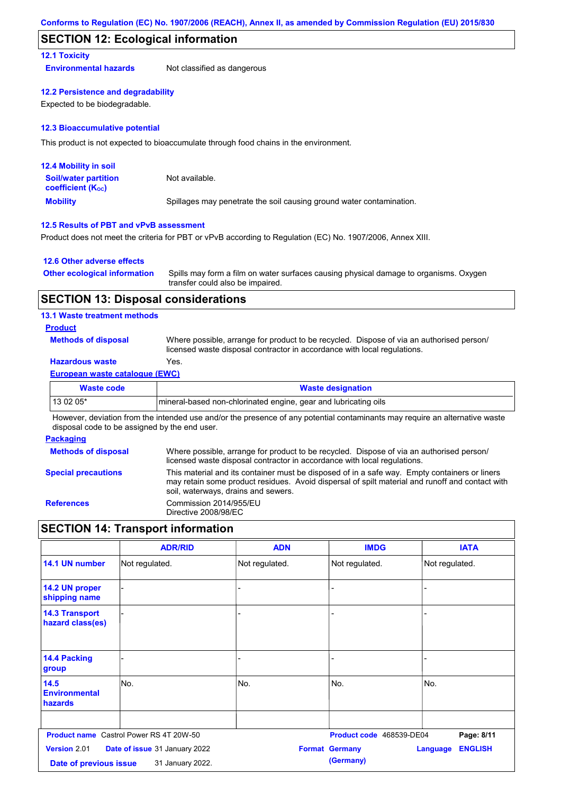### **SECTION 12: Ecological information**

### **12.1 Toxicity**

**Environmental hazards** Not classified as dangerous

### **12.2 Persistence and degradability**

Expected to be biodegradable.

### **12.3 Bioaccumulative potential**

This product is not expected to bioaccumulate through food chains in the environment.

| <b>12.4 Mobility in soil</b>                                  |                                                                      |
|---------------------------------------------------------------|----------------------------------------------------------------------|
| <b>Soil/water partition</b><br>coefficient (K <sub>oc</sub> ) | Not available.                                                       |
| <b>Mobility</b>                                               | Spillages may penetrate the soil causing ground water contamination. |

### **12.5 Results of PBT and vPvB assessment**

Product does not meet the criteria for PBT or vPvB according to Regulation (EC) No. 1907/2006, Annex XIII.

### **12.6 Other adverse effects**

| <b>Other ecological information</b> | Spills may form a film on water surfaces causing physical damage to organisms. Oxygen |
|-------------------------------------|---------------------------------------------------------------------------------------|
|                                     | transfer could also be impaired.                                                      |

### **SECTION 13: Disposal considerations**

### **13.1 Waste treatment methods**

### **Product**

**Methods of disposal**

Where possible, arrange for product to be recycled. Dispose of via an authorised person/ licensed waste disposal contractor in accordance with local regulations.

### **Hazardous waste** Yes.

### **European waste catalogue (EWC)**

| Waste code | <b>Waste designation</b>                                         |
|------------|------------------------------------------------------------------|
| $130205*$  | Imineral-based non-chlorinated engine, gear and lubricating oils |

However, deviation from the intended use and/or the presence of any potential contaminants may require an alternative waste disposal code to be assigned by the end user.

### **Packaging**

| <b>Methods of disposal</b> | Where possible, arrange for product to be recycled. Dispose of via an authorised person/<br>licensed waste disposal contractor in accordance with local regulations.                                                                    |
|----------------------------|-----------------------------------------------------------------------------------------------------------------------------------------------------------------------------------------------------------------------------------------|
| <b>Special precautions</b> | This material and its container must be disposed of in a safe way. Empty containers or liners<br>may retain some product residues. Avoid dispersal of spilt material and runoff and contact with<br>soil, waterways, drains and sewers. |
| <b>References</b>          | Commission 2014/955/EU<br>Directive 2008/98/EC                                                                                                                                                                                          |

### **SECTION 14: Transport information**

|                                               | <b>ADR/RID</b>                                    | <b>ADN</b>     | <b>IMDG</b>                        | <b>IATA</b>                |
|-----------------------------------------------|---------------------------------------------------|----------------|------------------------------------|----------------------------|
| 14.1 UN number                                | Not regulated.                                    | Not regulated. | Not regulated.                     | Not regulated.             |
| 14.2 UN proper<br>shipping name               |                                                   |                |                                    |                            |
| <b>14.3 Transport</b><br>hazard class(es)     |                                                   |                |                                    |                            |
| 14.4 Packing<br>group                         |                                                   |                |                                    |                            |
| 14.5<br><b>Environmental</b><br>hazards       | No.                                               | No.            | No.                                | No.                        |
|                                               | <b>Product name</b> Castrol Power RS 4T 20W-50    |                | Product code 468539-DE04           | Page: 8/11                 |
| <b>Version 2.01</b><br>Date of previous issue | Date of issue 31 January 2022<br>31 January 2022. |                | <b>Format Germany</b><br>(Germany) | <b>ENGLISH</b><br>Language |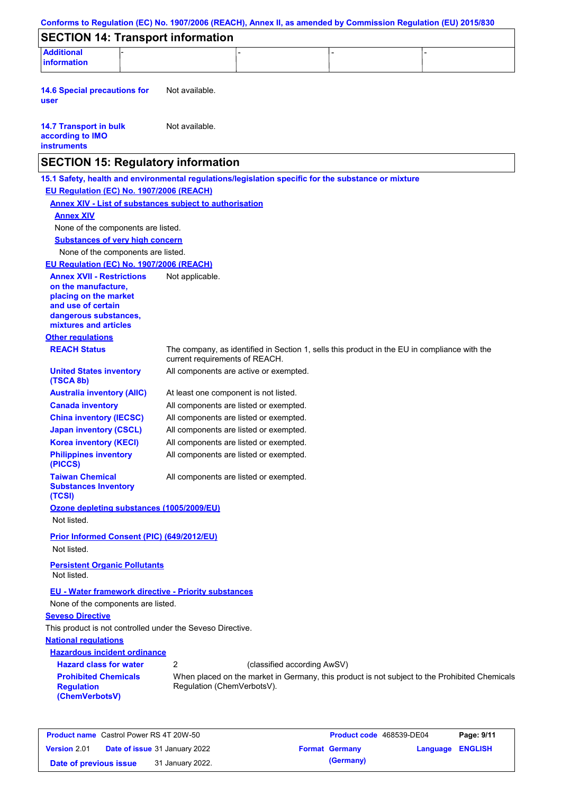| <b>SECTION 14: Transport information</b>                                                            |                 |                                        |                             |                                                                                               |
|-----------------------------------------------------------------------------------------------------|-----------------|----------------------------------------|-----------------------------|-----------------------------------------------------------------------------------------------|
| <b>Additional</b><br><b>information</b>                                                             |                 |                                        |                             |                                                                                               |
| <b>14.6 Special precautions for</b><br>user                                                         | Not available.  |                                        |                             |                                                                                               |
| <b>14.7 Transport in bulk</b><br>according to IMO<br><b>instruments</b>                             | Not available.  |                                        |                             |                                                                                               |
| <b>SECTION 15: Regulatory information</b>                                                           |                 |                                        |                             |                                                                                               |
| 15.1 Safety, health and environmental regulations/legislation specific for the substance or mixture |                 |                                        |                             |                                                                                               |
| EU Regulation (EC) No. 1907/2006 (REACH)                                                            |                 |                                        |                             |                                                                                               |
| <b>Annex XIV - List of substances subject to authorisation</b>                                      |                 |                                        |                             |                                                                                               |
| <b>Annex XIV</b>                                                                                    |                 |                                        |                             |                                                                                               |
| None of the components are listed.                                                                  |                 |                                        |                             |                                                                                               |
| <b>Substances of very high concern</b>                                                              |                 |                                        |                             |                                                                                               |
| None of the components are listed.                                                                  |                 |                                        |                             |                                                                                               |
| EU Regulation (EC) No. 1907/2006 (REACH)                                                            |                 |                                        |                             |                                                                                               |
| <b>Annex XVII - Restrictions</b>                                                                    | Not applicable. |                                        |                             |                                                                                               |
| on the manufacture,<br>placing on the market                                                        |                 |                                        |                             |                                                                                               |
| and use of certain                                                                                  |                 |                                        |                             |                                                                                               |
| dangerous substances,                                                                               |                 |                                        |                             |                                                                                               |
| mixtures and articles                                                                               |                 |                                        |                             |                                                                                               |
| <b>Other regulations</b>                                                                            |                 |                                        |                             |                                                                                               |
| <b>REACH Status</b>                                                                                 |                 | current requirements of REACH.         |                             | The company, as identified in Section 1, sells this product in the EU in compliance with the  |
| <b>United States inventory</b><br>(TSCA 8b)                                                         |                 | All components are active or exempted. |                             |                                                                                               |
| <b>Australia inventory (AIIC)</b>                                                                   |                 | At least one component is not listed.  |                             |                                                                                               |
| <b>Canada inventory</b>                                                                             |                 | All components are listed or exempted. |                             |                                                                                               |
| <b>China inventory (IECSC)</b>                                                                      |                 | All components are listed or exempted. |                             |                                                                                               |
| <b>Japan inventory (CSCL)</b>                                                                       |                 | All components are listed or exempted. |                             |                                                                                               |
| <b>Korea inventory (KECI)</b>                                                                       |                 | All components are listed or exempted. |                             |                                                                                               |
| <b>Philippines inventory</b><br>(PICCS)                                                             |                 | All components are listed or exempted. |                             |                                                                                               |
| <b>Taiwan Chemical</b><br><b>Substances Inventory</b><br>(TCSI)                                     |                 | All components are listed or exempted. |                             |                                                                                               |
| Ozone depleting substances (1005/2009/EU)                                                           |                 |                                        |                             |                                                                                               |
| Not listed.                                                                                         |                 |                                        |                             |                                                                                               |
| Prior Informed Consent (PIC) (649/2012/EU)<br>Not listed.                                           |                 |                                        |                             |                                                                                               |
| <b>Persistent Organic Pollutants</b><br>Not listed.                                                 |                 |                                        |                             |                                                                                               |
| <b>EU - Water framework directive - Priority substances</b><br>None of the components are listed.   |                 |                                        |                             |                                                                                               |
| <b>Seveso Directive</b>                                                                             |                 |                                        |                             |                                                                                               |
| This product is not controlled under the Seveso Directive.                                          |                 |                                        |                             |                                                                                               |
| <b>National regulations</b>                                                                         |                 |                                        |                             |                                                                                               |
| <b>Hazardous incident ordinance</b>                                                                 |                 |                                        |                             |                                                                                               |
| <b>Hazard class for water</b>                                                                       | 2               |                                        | (classified according AwSV) |                                                                                               |
| <b>Prohibited Chemicals</b><br><b>Regulation</b><br>(ChemVerbotsV)                                  |                 | Regulation (ChemVerbotsV).             |                             | When placed on the market in Germany, this product is not subject to the Prohibited Chemicals |

| <b>Product name</b> Castrol Power RS 4T 20W-50 |                                      |                       | <b>Product code</b> 468539-DE04 | Page: 9/11 |
|------------------------------------------------|--------------------------------------|-----------------------|---------------------------------|------------|
| <b>Version 2.01</b>                            | <b>Date of issue</b> 31 January 2022 | <b>Format Germany</b> | Language ENGLISH                |            |
| Date of previous issue                         | 31 January 2022.                     | (Germany)             |                                 |            |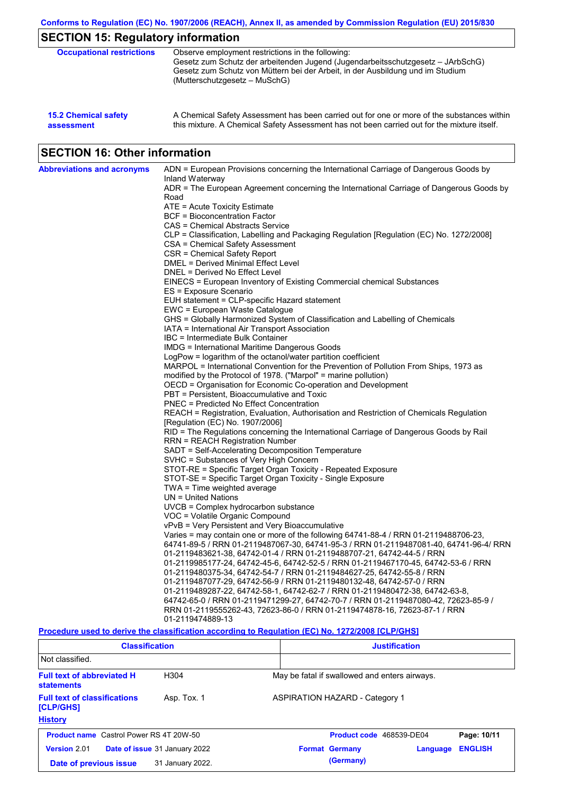| <b>15.2 Chemical safety</b> | A Chemical Safety Assessment has been carried out for one or more of the substances within  |
|-----------------------------|---------------------------------------------------------------------------------------------|
| assessment                  | this mixture. A Chemical Safety Assessment has not been carried out for the mixture itself. |

# **SECTION 16: Other information**

| <b>Abbreviations and acronyms</b> | ADN = European Provisions concerning the International Carriage of Dangerous Goods by<br>Inland Waterway                  |
|-----------------------------------|---------------------------------------------------------------------------------------------------------------------------|
|                                   | ADR = The European Agreement concerning the International Carriage of Dangerous Goods by<br>Road                          |
|                                   | ATE = Acute Toxicity Estimate                                                                                             |
|                                   | <b>BCF</b> = Bioconcentration Factor                                                                                      |
|                                   | CAS = Chemical Abstracts Service                                                                                          |
|                                   | CLP = Classification, Labelling and Packaging Regulation [Regulation (EC) No. 1272/2008]                                  |
|                                   | CSA = Chemical Safety Assessment                                                                                          |
|                                   | CSR = Chemical Safety Report                                                                                              |
|                                   | DMEL = Derived Minimal Effect Level                                                                                       |
|                                   | DNEL = Derived No Effect Level                                                                                            |
|                                   | EINECS = European Inventory of Existing Commercial chemical Substances                                                    |
|                                   | ES = Exposure Scenario                                                                                                    |
|                                   | EUH statement = CLP-specific Hazard statement                                                                             |
|                                   | EWC = European Waste Catalogue                                                                                            |
|                                   | GHS = Globally Harmonized System of Classification and Labelling of Chemicals                                             |
|                                   | IATA = International Air Transport Association                                                                            |
|                                   | IBC = Intermediate Bulk Container                                                                                         |
|                                   | <b>IMDG = International Maritime Dangerous Goods</b>                                                                      |
|                                   | LogPow = logarithm of the octanol/water partition coefficient                                                             |
|                                   | MARPOL = International Convention for the Prevention of Pollution From Ships, 1973 as                                     |
|                                   | modified by the Protocol of 1978. ("Marpol" = marine pollution)                                                           |
|                                   | OECD = Organisation for Economic Co-operation and Development                                                             |
|                                   | PBT = Persistent, Bioaccumulative and Toxic                                                                               |
|                                   | PNEC = Predicted No Effect Concentration                                                                                  |
|                                   | REACH = Registration, Evaluation, Authorisation and Restriction of Chemicals Regulation                                   |
|                                   | [Regulation (EC) No. 1907/2006]<br>RID = The Regulations concerning the International Carriage of Dangerous Goods by Rail |
|                                   | <b>RRN = REACH Registration Number</b>                                                                                    |
|                                   | SADT = Self-Accelerating Decomposition Temperature                                                                        |
|                                   | SVHC = Substances of Very High Concern                                                                                    |
|                                   | STOT-RE = Specific Target Organ Toxicity - Repeated Exposure                                                              |
|                                   | STOT-SE = Specific Target Organ Toxicity - Single Exposure                                                                |
|                                   | $TWA = Time$ weighted average                                                                                             |
|                                   | $UN = United Nations$                                                                                                     |
|                                   | $UVCB = Complex\;hydrocarbon\; substance$                                                                                 |
|                                   | VOC = Volatile Organic Compound                                                                                           |
|                                   | vPvB = Very Persistent and Very Bioaccumulative                                                                           |
|                                   | Varies = may contain one or more of the following 64741-88-4 / RRN 01-2119488706-23,                                      |
|                                   | 64741-89-5 / RRN 01-2119487067-30, 64741-95-3 / RRN 01-2119487081-40, 64741-96-4/ RRN                                     |
|                                   | 01-2119483621-38, 64742-01-4 / RRN 01-2119488707-21, 64742-44-5 / RRN                                                     |
|                                   | 01-2119985177-24, 64742-45-6, 64742-52-5 / RRN 01-2119467170-45, 64742-53-6 / RRN                                         |
|                                   | 01-2119480375-34, 64742-54-7 / RRN 01-2119484627-25, 64742-55-8 / RRN                                                     |
|                                   | 01-2119487077-29, 64742-56-9 / RRN 01-2119480132-48, 64742-57-0 / RRN                                                     |
|                                   | 01-2119489287-22, 64742-58-1, 64742-62-7 / RRN 01-2119480472-38, 64742-63-8,                                              |
|                                   | 64742-65-0 / RRN 01-2119471299-27, 64742-70-7 / RRN 01-2119487080-42, 72623-85-9 /                                        |
|                                   | RRN 01-2119555262-43, 72623-86-0 / RRN 01-2119474878-16, 72623-87-1 / RRN<br>01-2119474889-13                             |
|                                   |                                                                                                                           |

### **Procedure used to derive the classification according to Regulation (EC) No. 1272/2008 [CLP/GHS]**

| <b>Classification</b>                                  |                               |                                               | <b>Justification</b>                  |          |                |  |
|--------------------------------------------------------|-------------------------------|-----------------------------------------------|---------------------------------------|----------|----------------|--|
| Not classified.                                        |                               |                                               |                                       |          |                |  |
| <b>Full text of abbreviated H</b><br><b>statements</b> | H <sub>304</sub>              | May be fatal if swallowed and enters airways. |                                       |          |                |  |
| <b>Full text of classifications</b><br>[CLP/GHS]       | Asp. Tox. 1                   |                                               | <b>ASPIRATION HAZARD - Category 1</b> |          |                |  |
| <b>History</b>                                         |                               |                                               |                                       |          |                |  |
| <b>Product name</b> Castrol Power RS 4T 20W-50         |                               |                                               | Product code 468539-DE04              |          | Page: 10/11    |  |
| Version 2.01                                           | Date of issue 31 January 2022 |                                               | <b>Format Germany</b>                 | Language | <b>ENGLISH</b> |  |
| Date of previous issue                                 | 31 January 2022.              |                                               | (Germany)                             |          |                |  |